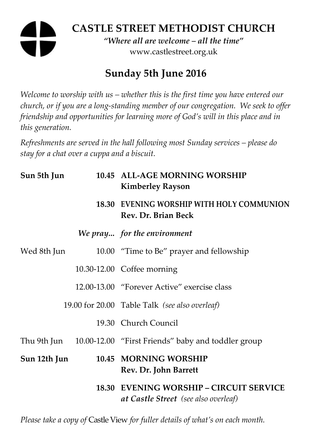# **CASTLE STREET METHODIST CHURCH**  *"Where all are welcome – all the time"*  www.castlestreet.org.uk

# **Sunday 5th June 2016**

*Welcome to worship with us – whether this is the first time you have entered our church, or if you are a long-standing member of our congregation. We seek to offer friendship and opportunities for learning more of God's will in this place and in this generation.* 

*Refreshments are served in the hall following most Sunday services – please do stay for a chat over a cuppa and a biscuit.* 

| Sun 5th Jun  | 10.45 ALL-AGE MORNING WORSHIP<br><b>Kimberley Rayson</b>                               |
|--------------|----------------------------------------------------------------------------------------|
|              | 18.30 EVENING WORSHIP WITH HOLY COMMUNION<br>Rev. Dr. Brian Beck                       |
|              | We pray for the environment                                                            |
| Wed 8th Jun  | 10.00 "Time to Be" prayer and fellowship                                               |
|              | 10.30-12.00 Coffee morning                                                             |
|              | 12.00-13.00 "Forever Active" exercise class                                            |
|              | 19.00 for 20.00 Table Talk (see also overleaf)                                         |
|              | 19.30 Church Council                                                                   |
|              | Thu 9th Jun 10.00-12.00 "First Friends" baby and toddler group                         |
| Sun 12th Jun | 10.45 MORNING WORSHIP<br>Rev. Dr. John Barrett                                         |
|              | <b>18.30 EVENING WORSHIP - CIRCUIT SERVICE</b><br>at Castle Street (see also overleaf) |

*Please take a copy of* Castle View *for fuller details of what's on each month.*